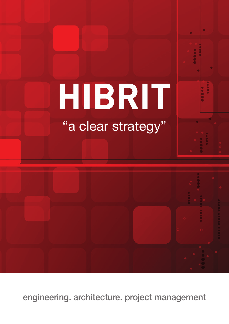# HIBRIT

# "a clear strategy"



engineering. architecture. project management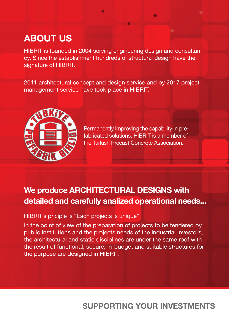# **ABOUT US**

HIBRIT is founded in 2004 serving engineering design and consultancy. Since the establishment hundreds of structural design have the signature of HIBRIT.

2011 architectural concept and design service and by 2017 project management service have took place in HIBRIT.



Permanently improving the capability in prefabricated solutions, HIBRIT is a member of the Turkish Precast Concrete Association.

## **We produce ARCHITECTURAL DESIGNS with detailed and carefully analized operational needs...**

#### HIBRIT's priciple is "Each projects is unique"

In the point of view of the preparation of projects to be tendered by public institutions and the projects needs of the industrial investors, the architectural and static disciplines are under the same roof with the result of functional, secure, in-budget and suitable structures for the purpose are designed in HIBRIT.

### **SUPPORTING YOUR INVESTMENTS**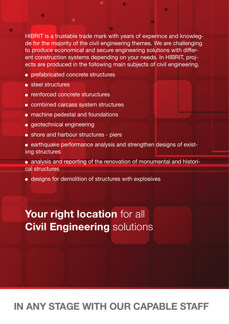HIBRIT is a trustable trade mark with years of experince and knowlegde for the majority of the civil engineering themes. We are challenging to produce economical and secure engineering solutions with different construction systems depending on your needs. In HIBRIT, projects are produced in the following main subjects of civil engineering.

- prefabricated concrete structures
- steel structures
- reinforced concrete stuructures
- combined carcass system structures
- machine pedestal and foundations
- geotechnical engineering
- shore and harbour structures piers
- earthquake performance analysis and strengthen designs of existiıng structures
- analysis and reporting of the renovation of monumental and historical structures
- designs for demolition of structures wıth explosives

# Your right location for all **Civil Engineering** solutions

# **IN ANY STAGE WITH OUR CAPABLE STAFF**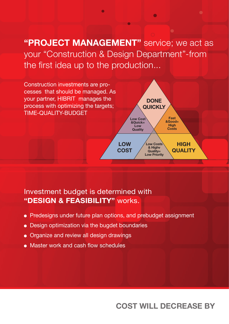**"PROJECT MANAGEMENT"** service; we act as your "Construction & Design Department"-from the first idea up to the production...

 $\bullet$ 



#### Investment budget is determined with **"DESIGN & FEASIBILITY"** works.

- Predesigns under future plan options, and prebudget assignment
- Design optimization via the bugdet boundaries
- Organize and review all design drawings
- Master work and cash flow schedules

#### **COST WILL DECREASE BY**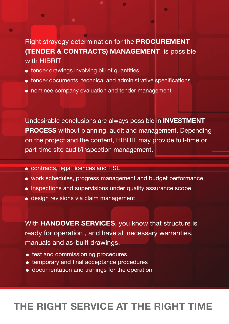Right strayegy determination for the **PROCUREMENT (TENDER & CONTRACTS) MANAGEMENT** is possible with HIBRIT

 $\bigcirc$ 

- tender drawings involving bill of quantities
- tender documents, technical and administrative specifications
- nominee company evaluation and tender management

Undesirable conclusions are always possible in **INVESTMENT PROCESS** without planning, audit and management. Depending on the project and the content, HIBRIT may provide full-time or part-time site audit/inspection management.

- contracts, legal licences and HSE
- work schedules, progress management and budget performance
- Inspections and supervisions under quality assurance scope
- design revisions via claim management

With **HANDOVER SERVICES**, you know that structure is ready for operation , and have all necessary warranties, manuals and as-built drawings.

- test and commissioning procedures
- $\bullet$  temporary and final acceptance procedures
- documentation and tranings for the operation

# **THE RIGHT SERVICE AT THE RIGHT TIME**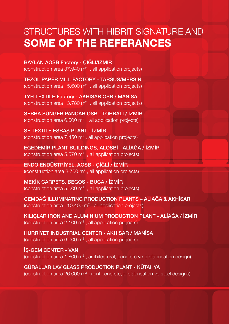# STRUCTURES WITH HIBRIT SIGNATURE AND **SOME OF THE REFERANCES**

BAYLAN AOSB Factory - ÇİĞLİ/İZMİR (construction area  $37.940 \text{ m}^2$ , all application projects)

TEZOL PAPER MILL FACTORY - TARSUS/MERSIN (construction area 15.600  $\text{m}^2$ , all application projects)

TYH TEXTILE Factory - AKHİSAR OSB / MANİSA (construction area 13.780  $\text{m}^2$ , all application projects)

SERRA SÜNGER PANCAR OSB - TORBALI / İZMİR (construction area  $6.600 \text{ m}^2$ , all application projects)

SF TEXTILE ESBAŞ PLANT - İZMİR (construction area  $7.450$  m<sup>2</sup>, all application projects)

EGEDEMİR PLANT BUILDINGS, ALOSBİ - ALİAĞA / İZMİR (construction area 5.570  $m^2$  , all application projects)

ENDO ENDÜSTRİYEL, AOSB - ÇİĞLİ / İZMİR ((construction area 3.700  $\text{m}^2$  , all application projects)

MEKİK CARPETS, BEGOS - BUCA / İZMİR (construction area 5.000  $\text{m}^2$ , all application projects)

CEMDAĞ ILLUMINATING PRODUCTION PLANTS – ALİAĞA & AKHİSAR (construction area : 10.400  $\text{m}^2$  , all application projects)

KILIÇLAR IRON AND ALUMINIUM PRODUCTION PLANT - ALİAĞA / İZMİR (construction area 2.100  $\text{m}^2$  , all application projects)

HÜRRİYET INDUSTRIAL CENTER - AKHİSAR / MANİSA (construction area 6.000  $\text{m}^2$  , all application projects)

İŞ-GEM CENTER - VAN (construction area 1.800  $m^2$  , architectural, concrete ve prefabrication design)

GÜRALLAR LAV GLASS PRODUCTION PLANT - KÜTAHYA (construction area 26.000 m<sup>2</sup>, reinf.concrete, prefabrication ve steel designs)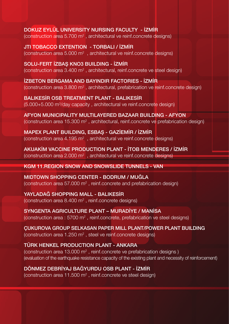DOKUZ EYLÜL UNIVERSITY NURSING FACULTY - İZMİR (construction area 5.700  $m<sup>2</sup>$ , architectural ve reinf.concrete designs)

JTI TOBACCO EXTENTION - TORBALI / İZMİR (construction area 5.000  $m^2$ , architectural ve reinf.concrete designs)

SOLU-FERT İZBAŞ KNO3 BUILDING - İZMİR (construction area  $3.400 \text{ m}^2$ , architectural, reinf.concrete ve steel design)

İZBETON BERGAMA AND BAYINDIR FACTORIES - İZMİR (construction area 3.800 m<sup>2</sup>, architectural, prefabrication ve reinf.concrete design)

BALIKESİR OSB TREATMENT PLANT - BALIKESİR (5.000+5.000 m3 /day capacity , architectural ve reinf.concrete design)

AFYON MUNICIPALITY MULTILAYERED BAZAAR BUILDING - AFYON (construction area 15.300  $m^2$ , architectural, reinf.concrete ve prefabrication design)

MAPEX PLANT BUILDING, ESBAŞ - GAZİEMİR / İZMİR (construction area 4.195  $m^2$ , architectural ve reinf.concrete designs)

AKUAKİM VACCINE PRODUCTION PLANT - İTOB MENDERES / İZMİR (construction area 2.000  $m^2$  , architectural ve reinf.concrete designs)

#### KGM 11.REGION SNOW AND SNOWSLIDE TUNNELS - VAN

MIDTOWN SHOPPING CENTER - BODRUM / MUĞLA (construction area 57.000  $m^2$ , reinf.concrete and prefabrication design)

YAYLADAĞ SHOPPING MALL - BALIKESİR (construction area 8.400 m<sup>2</sup>, reinf.concrete designs)

SYNGENTA AGRICULTURE PLANT – MURADİYE / MANİSA (construction area : 5700 m<sup>2</sup>, reinf.concrete, prefabrication ve steel designs)

ÇUKUROVA GROUP SELKASAN PAPER MILL PLANT/POWER PLANT BUILDING (construction area 1.250  $m^2$  , steel ve reinf.concrete designs)

#### TÜRK HENKEL PRODUCTION PLANT - ANKARA

(construction area 13.000  $m^2$ , reinf.concrete ve prefabrication designs) (evaluation of the earthquake resistance capacity of the existing plant and necessity of reinforcement)

DÖNMEZ DEBRİYAJ BAĞYURDU OSB PLANT - İZMİR

(construction area  $11.500$  m<sup>2</sup>, reinf.concrete ve steel design)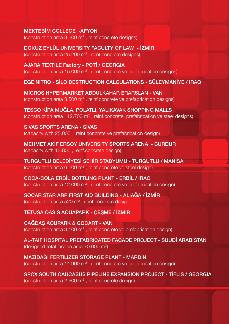#### MEKTEBİM COLLEGE -AFYON

(construction area 8.500 m<sup>2</sup>, reinf.concrete designs)

DOKUZ EYLÜL UNIVERSITY FACULTY OF LAW - İZMİR (construction area 25.200 m<sup>2</sup>, reinf.concrete designs)

AJARA TEXTILE Factory - POTİ / GEORGIA (construction area 15.000  $m^2$  , reinf.concrete ve prefabrication designs)

EGE NITRO - SİLO DESTRUCTION CALCULATIONS - SÜLEYMANİYE / IRAQ

MİGROS HYPERMARKET ABDULKAHAR ERARSLAN - VAN (construction area 3.500  $m^2$  , reinf.concrete ve prefabrication designs)

TESCO KİPA MUĞLA, POLATLI, YALIKAVAK SHOPPING MALLS (construction area : 12.700 m<sup>2</sup>, reinf.concrete, prefabrication ve steel designs)

SİVAS SPORTS ARENA - SİVAS (capacity with 25.000 , reinf.concrete ve prefabrication design)

MEHMET AKİF ERSOY UNIVERSITY SPORTS ARENA - BURDUR (capacity with 13.800 , reinf.concrete design)

TURGUTLU BELEDİYESİ ŞEHİR STADYUMU - TURGUTLU / MANİSA (construction area 6.600  $m^2$  , reinf.concrete ve steel design)

COCA-COLA ERBİL BOTTLING PLANT - ERBİL / IRAQ (construction area 12.000  $m^2$  , reinf.concrete ve prefabrication design)

SOCAR STAR ARP FIRST AID BUILDING - ALİAĞA / İZMİR (construction area 520 m<sup>2</sup>, reinf.concrete design)

TETUSA OASIS AQUAPARK - ÇEŞME / İZMİR

ÇAĞDAŞ AQUPARK & GOCART - VAN (construction area 3.100  $m^2$  , reinf.concrete ve prefabrication design)

AL-TAIF HOSPITAL PREFABRICATED FACADE PROJECT - SUUDİ ARABİSTAN (designed total facade area 70.000 m<sup>2</sup>)

MAZIDAĞI FERTILIZER STORAGE PLANT - MARDİN (construction area 14.900 m<sup>2</sup>, reinf.concrete ve prefabrication design)

SPCX SOUTH CAUCASUS PIPELINE EXPANSION PROJECT - TİFLİS / GEORGIA (construction area 2.600  $m^2$  , reinf.concrete design)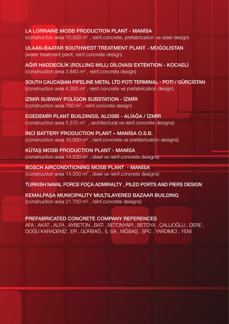LA LORRAINE MOSB PRODUCTION PLANT - MANİSA (construction area 10.500 m<sup>2</sup>, reinf.concrete, prefabrication ve steel design)

ULAAN-BAATAR SOUTHWEST TREATMENT PLANT - MOĞOLİSTAN (water treatment plant, reinf.concrete design)

AĞIR HADDECİLİK (ROLLING MILL) DİLOVASI EXTENTION - KOCAELİ (construction area 3.840 m<sup>2</sup> , reinf.concrete design)

SOUTH CAUCASIAN PIPELINE METAL LTD POTI TERMINAL - POTI / GÜRCİSTAN (construction area 4.300  $m^2$  , reinf.concrete ve prefabrication design)

IZMIR SUBWAY POLİGON SUBSTATION - İZMİR (construction area  $750 \text{ m}^2$ , reinf.concrete design)

EGEDEMİR PLANT BUILDINGS, ALOSBİ - ALİAĞA / İZMİR (construction area 5.570 m<sup>2</sup>, architectural ve reinf.concrete designs)

İNCİ BATTERY PRODUCTION PLANT – MANİSA O.S.B. (construction area 10.000 m<sup>2</sup>, reinf.concrete ve prefabrication designs)

KÜTAŞ MOSB PRODUCTION PLANT - MANİSA (construction area 14.530 m<sup>2</sup>, steel ve reinf.concrete designs)

BOSCH AIRCONDITIONING MOSB PLANT - MANİSA (construction area 14.500 m<sup>2</sup>, steel ve reinf.concrete designs)

TURKISH NAVAL FORCE FOÇA ADMIRALTY , PILED PORTS AND PIERS DESIGN

KEMALPAŞA MUNICIPALITY MULTILAYERED BAZAAR BUILDING (construction area 21.700  $m^2$  , reinf.concrete designs)

PREFABRICATED CONCRETE COMPANY REFERENCES

AFA , AKAT , ALFA , AYBETON , BATI , BETONYAPI , BETOYA , ÇALLIOĞLU , DERE , DOĞU KARADENİZ , ER , GÜRBAĞ , İL-SA , NİĞBAŞ , SPC , YARDIMCI , YENİ